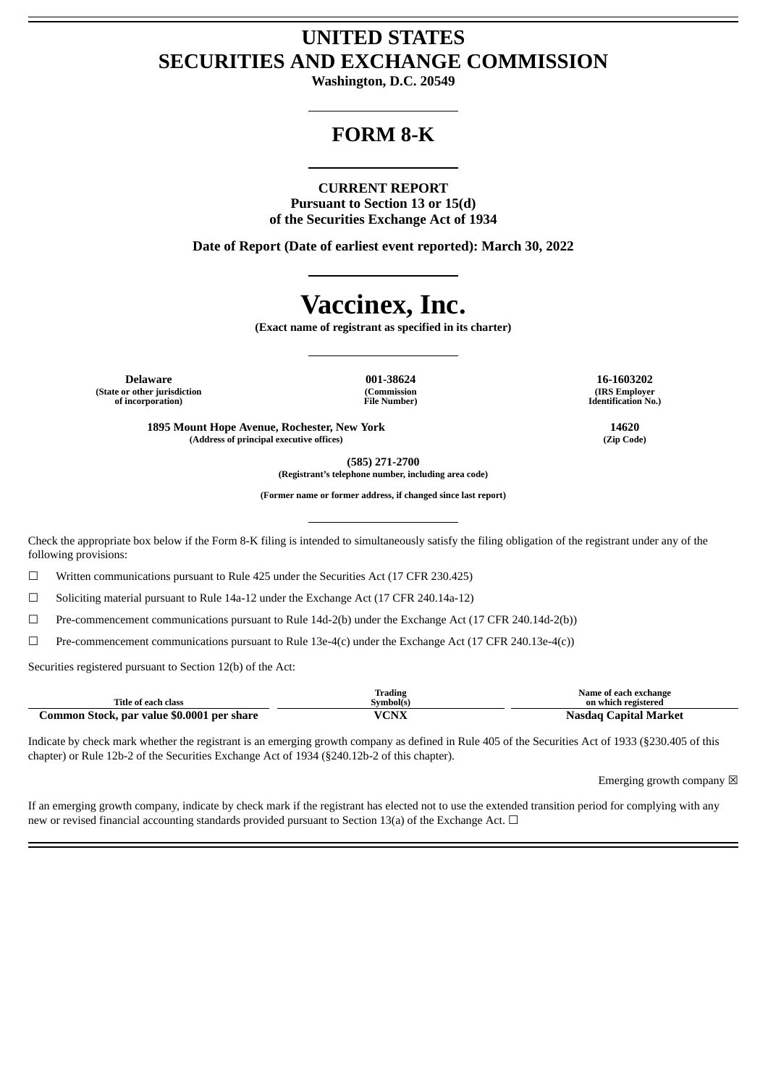## **UNITED STATES SECURITIES AND EXCHANGE COMMISSION**

**Washington, D.C. 20549**

## **FORM 8-K**

### **CURRENT REPORT**

**Pursuant to Section 13 or 15(d) of the Securities Exchange Act of 1934**

**Date of Report (Date of earliest event reported): March 30, 2022**

# **Vaccinex, Inc.**

**(Exact name of registrant as specified in its charter)**

**Delaware 001-38624 16-1603202 (State or other jurisdiction of incorporation)**

**(Commission File Number)**

**(IRS Employer Identification No.)**

**1895 Mount Hope Avenue, Rochester, New York 14620 (Address of principal executive offices) (Zip Code)**

**(585) 271-2700**

**(Registrant's telephone number, including area code)**

**(Former name or former address, if changed since last report)**

Check the appropriate box below if the Form 8-K filing is intended to simultaneously satisfy the filing obligation of the registrant under any of the following provisions:

☐ Written communications pursuant to Rule 425 under the Securities Act (17 CFR 230.425)

☐ Soliciting material pursuant to Rule 14a-12 under the Exchange Act (17 CFR 240.14a-12)

☐ Pre-commencement communications pursuant to Rule 14d-2(b) under the Exchange Act (17 CFR 240.14d-2(b))

 $\Box$  Pre-commencement communications pursuant to Rule 13e-4(c) under the Exchange Act (17 CFR 240.13e-4(c))

Securities registered pursuant to Section 12(b) of the Act:

|                                            | <b>Trading</b> | Name of each exchange        |
|--------------------------------------------|----------------|------------------------------|
| Title of each class                        | Symbol(s)      | on which registered          |
| Common Stock, par value \$0.0001 per share | /CNX           | <b>Nasdag Capital Market</b> |

Indicate by check mark whether the registrant is an emerging growth company as defined in Rule 405 of the Securities Act of 1933 (§230.405 of this chapter) or Rule 12b-2 of the Securities Exchange Act of 1934 (§240.12b-2 of this chapter).

Emerging growth company  $\boxtimes$ 

If an emerging growth company, indicate by check mark if the registrant has elected not to use the extended transition period for complying with any new or revised financial accounting standards provided pursuant to Section 13(a) of the Exchange Act.  $\Box$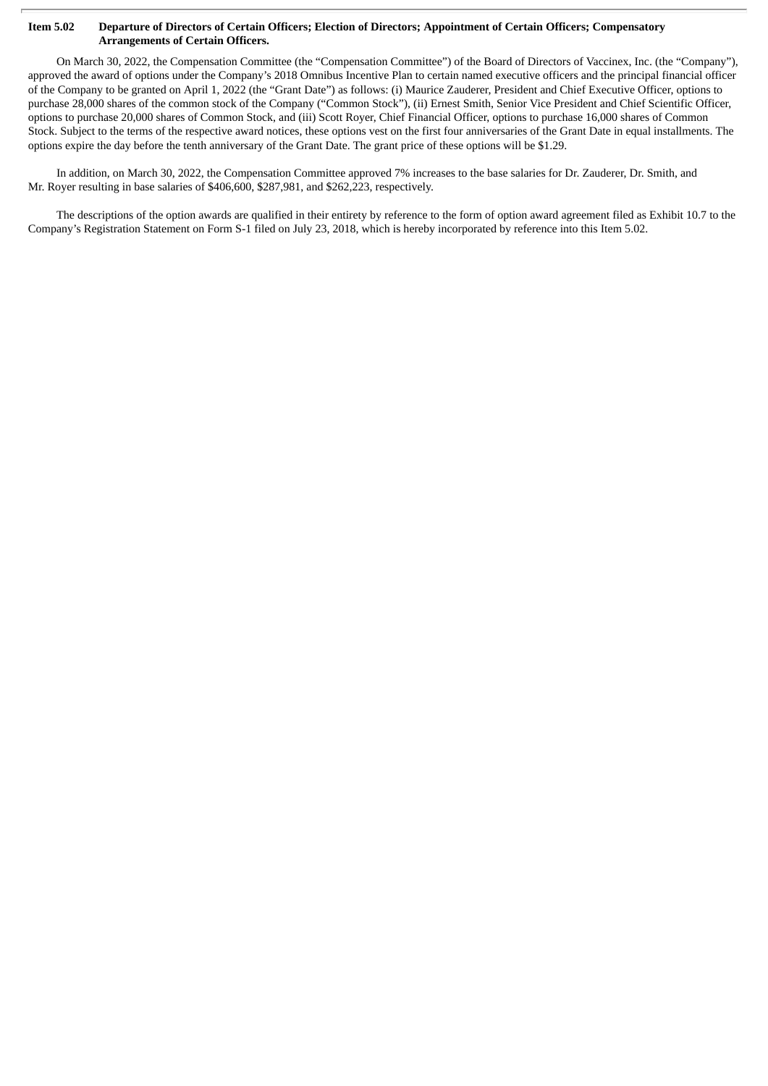#### Item 5.02 Departure of Directors of Certain Officers; Election of Directors; Appointment of Certain Officers; Compensatory **Arrangements of Certain Officers.**

On March 30, 2022, the Compensation Committee (the "Compensation Committee") of the Board of Directors of Vaccinex, Inc. (the "Company"), approved the award of options under the Company's 2018 Omnibus Incentive Plan to certain named executive officers and the principal financial officer of the Company to be granted on April 1, 2022 (the "Grant Date") as follows: (i) Maurice Zauderer, President and Chief Executive Officer, options to purchase 28,000 shares of the common stock of the Company ("Common Stock"), (ii) Ernest Smith, Senior Vice President and Chief Scientific Officer, options to purchase 20,000 shares of Common Stock, and (iii) Scott Royer, Chief Financial Officer, options to purchase 16,000 shares of Common Stock. Subject to the terms of the respective award notices, these options vest on the first four anniversaries of the Grant Date in equal installments. The options expire the day before the tenth anniversary of the Grant Date. The grant price of these options will be \$1.29.

In addition, on March 30, 2022, the Compensation Committee approved 7% increases to the base salaries for Dr. Zauderer, Dr. Smith, and Mr. Royer resulting in base salaries of \$406,600, \$287,981, and \$262,223, respectively.

The descriptions of the option awards are qualified in their entirety by reference to the form of option award agreement filed as Exhibit 10.7 to the Company's Registration Statement on Form S-1 filed on July 23, 2018, which is hereby incorporated by reference into this Item 5.02.